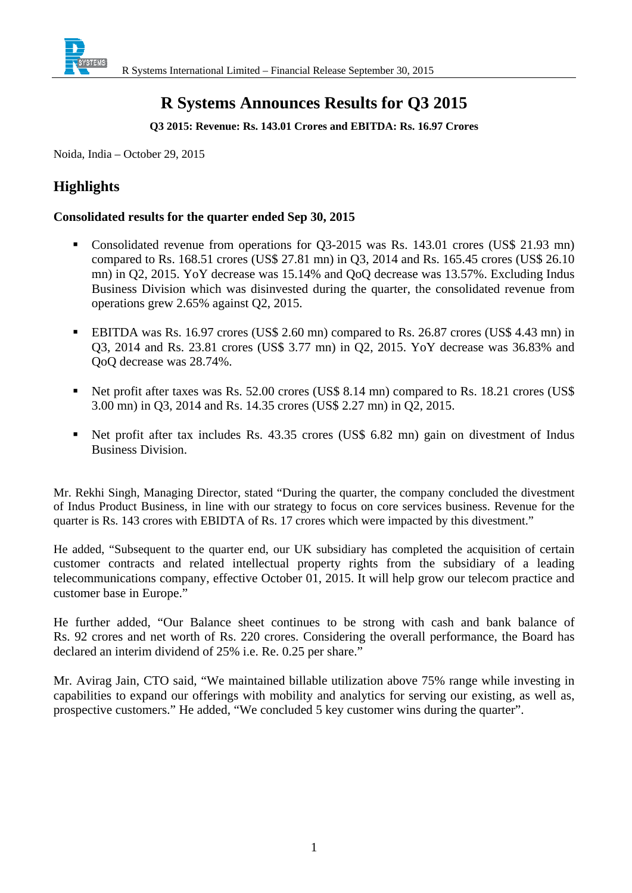

# **R Systems Announces Results for Q3 2015**

**Q3 2015: Revenue: Rs. 143.01 Crores and EBITDA: Rs. 16.97 Crores** 

Noida, India – October 29, 2015

## **Highlights**

#### **Consolidated results for the quarter ended Sep 30, 2015**

- Consolidated revenue from operations for Q3-2015 was Rs. 143.01 crores (US\$ 21.93 mn) compared to Rs. 168.51 crores (US\$ 27.81 mn) in Q3, 2014 and Rs. 165.45 crores (US\$ 26.10 mn) in Q2, 2015. YoY decrease was 15.14% and QoQ decrease was 13.57%. Excluding Indus Business Division which was disinvested during the quarter, the consolidated revenue from operations grew 2.65% against Q2, 2015.
- EBITDA was Rs. 16.97 crores (US\$ 2.60 mn) compared to Rs. 26.87 crores (US\$ 4.43 mn) in Q3, 2014 and Rs. 23.81 crores (US\$ 3.77 mn) in Q2, 2015. YoY decrease was 36.83% and QoQ decrease was 28.74%.
- Net profit after taxes was Rs. 52.00 crores (US\$ 8.14 mn) compared to Rs. 18.21 crores (US\$ 3.00 mn) in Q3, 2014 and Rs. 14.35 crores (US\$ 2.27 mn) in Q2, 2015.
- Net profit after tax includes Rs. 43.35 crores (US\$ 6.82 mn) gain on divestment of Indus Business Division.

Mr. Rekhi Singh, Managing Director, stated "During the quarter, the company concluded the divestment of Indus Product Business, in line with our strategy to focus on core services business. Revenue for the quarter is Rs. 143 crores with EBIDTA of Rs. 17 crores which were impacted by this divestment."

He added, "Subsequent to the quarter end, our UK subsidiary has completed the acquisition of certain customer contracts and related intellectual property rights from the subsidiary of a leading telecommunications company, effective October 01, 2015. It will help grow our telecom practice and customer base in Europe."

He further added, "Our Balance sheet continues to be strong with cash and bank balance of Rs. 92 crores and net worth of Rs. 220 crores. Considering the overall performance, the Board has declared an interim dividend of 25% i.e. Re. 0.25 per share."

Mr. Avirag Jain, CTO said, "We maintained billable utilization above 75% range while investing in capabilities to expand our offerings with mobility and analytics for serving our existing, as well as, prospective customers." He added, "We concluded 5 key customer wins during the quarter".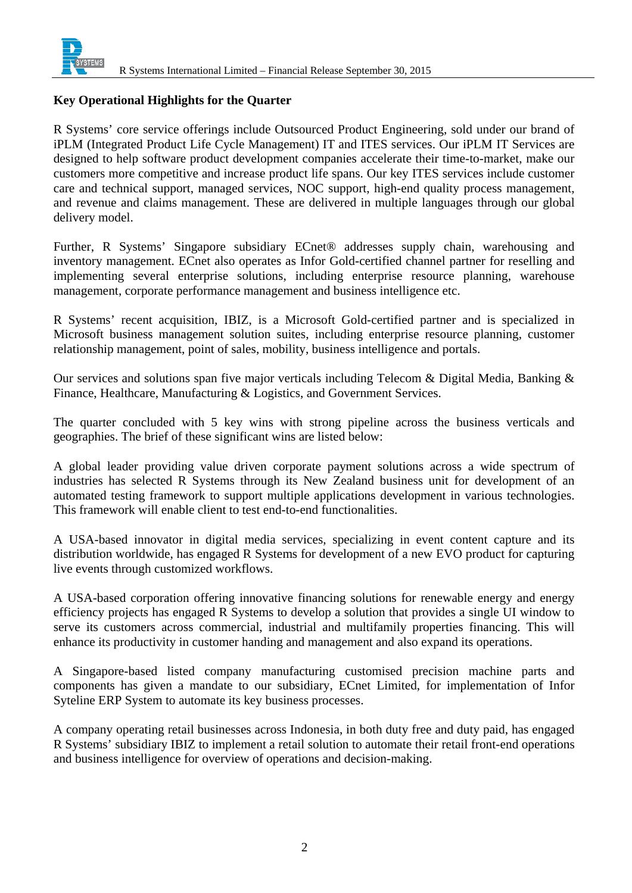

#### **Key Operational Highlights for the Quarter**

R Systems' core service offerings include Outsourced Product Engineering, sold under our brand of iPLM (Integrated Product Life Cycle Management) IT and ITES services. Our iPLM IT Services are designed to help software product development companies accelerate their time-to-market, make our customers more competitive and increase product life spans. Our key ITES services include customer care and technical support, managed services, NOC support, high-end quality process management, and revenue and claims management. These are delivered in multiple languages through our global delivery model.

Further, R Systems' Singapore subsidiary ECnet® addresses supply chain, warehousing and inventory management. ECnet also operates as Infor Gold-certified channel partner for reselling and implementing several enterprise solutions, including enterprise resource planning, warehouse management, corporate performance management and business intelligence etc.

R Systems' recent acquisition, IBIZ, is a Microsoft Gold-certified partner and is specialized in Microsoft business management solution suites, including enterprise resource planning, customer relationship management, point of sales, mobility, business intelligence and portals.

Our services and solutions span five major verticals including Telecom & Digital Media, Banking & Finance, Healthcare, Manufacturing & Logistics, and Government Services.

The quarter concluded with 5 key wins with strong pipeline across the business verticals and geographies. The brief of these significant wins are listed below:

A global leader providing value driven corporate payment solutions across a wide spectrum of industries has selected R Systems through its New Zealand business unit for development of an automated testing framework to support multiple applications development in various technologies. This framework will enable client to test end-to-end functionalities.

A USA-based innovator in digital media services, specializing in event content capture and its distribution worldwide, has engaged R Systems for development of a new EVO product for capturing live events through customized workflows.

A USA-based corporation offering innovative financing solutions for renewable energy and energy efficiency projects has engaged R Systems to develop a solution that provides a single UI window to serve its customers across commercial, industrial and multifamily properties financing. This will enhance its productivity in customer handing and management and also expand its operations.

A Singapore-based listed company manufacturing customised precision machine parts and components has given a mandate to our subsidiary, ECnet Limited, for implementation of Infor Syteline ERP System to automate its key business processes.

A company operating retail businesses across Indonesia, in both duty free and duty paid, has engaged R Systems' subsidiary IBIZ to implement a retail solution to automate their retail front-end operations and business intelligence for overview of operations and decision-making.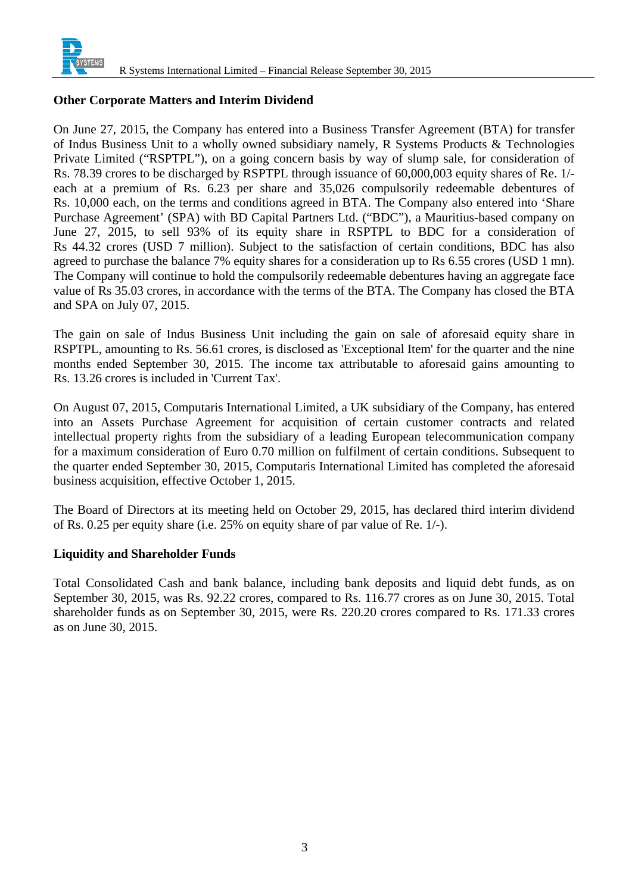

#### **Other Corporate Matters and Interim Dividend**

On June 27, 2015, the Company has entered into a Business Transfer Agreement (BTA) for transfer of Indus Business Unit to a wholly owned subsidiary namely, R Systems Products & Technologies Private Limited ("RSPTPL"), on a going concern basis by way of slump sale, for consideration of Rs. 78.39 crores to be discharged by RSPTPL through issuance of 60,000,003 equity shares of Re. 1/ each at a premium of Rs. 6.23 per share and 35,026 compulsorily redeemable debentures of Rs. 10,000 each, on the terms and conditions agreed in BTA. The Company also entered into 'Share Purchase Agreement' (SPA) with BD Capital Partners Ltd. ("BDC"), a Mauritius-based company on June 27, 2015, to sell 93% of its equity share in RSPTPL to BDC for a consideration of Rs 44.32 crores (USD 7 million). Subject to the satisfaction of certain conditions, BDC has also agreed to purchase the balance 7% equity shares for a consideration up to Rs 6.55 crores (USD 1 mn). The Company will continue to hold the compulsorily redeemable debentures having an aggregate face value of Rs 35.03 crores, in accordance with the terms of the BTA. The Company has closed the BTA and SPA on July 07, 2015.

The gain on sale of Indus Business Unit including the gain on sale of aforesaid equity share in RSPTPL, amounting to Rs. 56.61 crores, is disclosed as 'Exceptional Item' for the quarter and the nine months ended September 30, 2015. The income tax attributable to aforesaid gains amounting to Rs. 13.26 crores is included in 'Current Tax'.

On August 07, 2015, Computaris International Limited, a UK subsidiary of the Company, has entered into an Assets Purchase Agreement for acquisition of certain customer contracts and related intellectual property rights from the subsidiary of a leading European telecommunication company for a maximum consideration of Euro 0.70 million on fulfilment of certain conditions. Subsequent to the quarter ended September 30, 2015, Computaris International Limited has completed the aforesaid business acquisition, effective October 1, 2015.

The Board of Directors at its meeting held on October 29, 2015, has declared third interim dividend of Rs. 0.25 per equity share (i.e. 25% on equity share of par value of Re. 1/-).

### **Liquidity and Shareholder Funds**

Total Consolidated Cash and bank balance, including bank deposits and liquid debt funds, as on September 30, 2015, was Rs. 92.22 crores, compared to Rs. 116.77 crores as on June 30, 2015. Total shareholder funds as on September 30, 2015, were Rs. 220.20 crores compared to Rs. 171.33 crores as on June 30, 2015.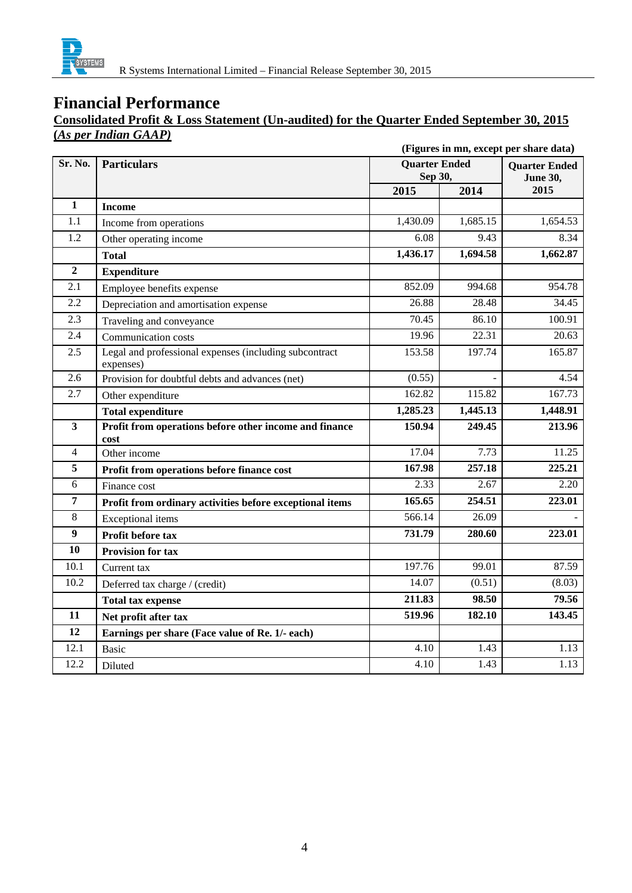

## **Consolidated Profit & Loss Statement (Un-audited) for the Quarter Ended September 30, 2015 (***As per Indian GAAP)*

|                         | (Figures in mn, except per share data)                              |                                 |          |                                         |
|-------------------------|---------------------------------------------------------------------|---------------------------------|----------|-----------------------------------------|
| Sr. No.                 | <b>Particulars</b>                                                  | <b>Quarter Ended</b><br>Sep 30, |          | <b>Quarter Ended</b><br><b>June 30,</b> |
|                         |                                                                     | 2015                            | 2014     | 2015                                    |
| $\mathbf{1}$            | <b>Income</b>                                                       |                                 |          |                                         |
| 1.1                     | Income from operations                                              | 1,430.09                        | 1,685.15 | 1,654.53                                |
| 1.2                     | Other operating income                                              | 6.08                            | 9.43     | 8.34                                    |
|                         | <b>Total</b>                                                        | 1,436.17                        | 1,694.58 | 1,662.87                                |
| $\overline{2}$          | <b>Expenditure</b>                                                  |                                 |          |                                         |
| 2.1                     | Employee benefits expense                                           | 852.09                          | 994.68   | 954.78                                  |
| 2.2                     | Depreciation and amortisation expense                               | 26.88                           | 28.48    | 34.45                                   |
| $\overline{2.3}$        | Traveling and conveyance                                            | 70.45                           | 86.10    | 100.91                                  |
| 2.4                     | Communication costs                                                 | 19.96                           | 22.31    | 20.63                                   |
| 2.5                     | Legal and professional expenses (including subcontract<br>expenses) | 153.58                          | 197.74   | 165.87                                  |
| 2.6                     | Provision for doubtful debts and advances (net)                     | (0.55)                          |          | 4.54                                    |
| 2.7                     | Other expenditure                                                   | 162.82                          | 115.82   | 167.73                                  |
|                         | <b>Total expenditure</b>                                            | $\overline{1,}285.23$           | 1,445.13 | 1,448.91                                |
| $\overline{\mathbf{3}}$ | Profit from operations before other income and finance<br>cost      | 150.94                          | 249.45   | 213.96                                  |
| $\overline{4}$          | Other income                                                        | 17.04                           | 7.73     | 11.25                                   |
| 5                       | Profit from operations before finance cost                          | 167.98                          | 257.18   | 225.21                                  |
| 6                       | Finance cost                                                        | 2.33                            | 2.67     | 2.20                                    |
| $\overline{7}$          | Profit from ordinary activities before exceptional items            | 165.65                          | 254.51   | 223.01                                  |
| $8\,$                   | <b>Exceptional</b> items                                            | 566.14                          | 26.09    |                                         |
| $\overline{9}$          | Profit before tax                                                   | 731.79                          | 280.60   | 223.01                                  |
| 10                      | <b>Provision for tax</b>                                            |                                 |          |                                         |
| 10.1                    | Current tax                                                         | 197.76                          | 99.01    | 87.59                                   |
| 10.2                    | Deferred tax charge / (credit)                                      | 14.07                           | (0.51)   | (8.03)                                  |
|                         | <b>Total tax expense</b>                                            | 211.83                          | 98.50    | 79.56                                   |
| 11                      | Net profit after tax                                                | 519.96                          | 182.10   | 143.45                                  |
| 12                      | Earnings per share (Face value of Re. 1/- each)                     |                                 |          |                                         |
| 12.1                    | Basic                                                               | 4.10                            | 1.43     | 1.13                                    |
| 12.2                    | Diluted                                                             | 4.10                            | 1.43     | 1.13                                    |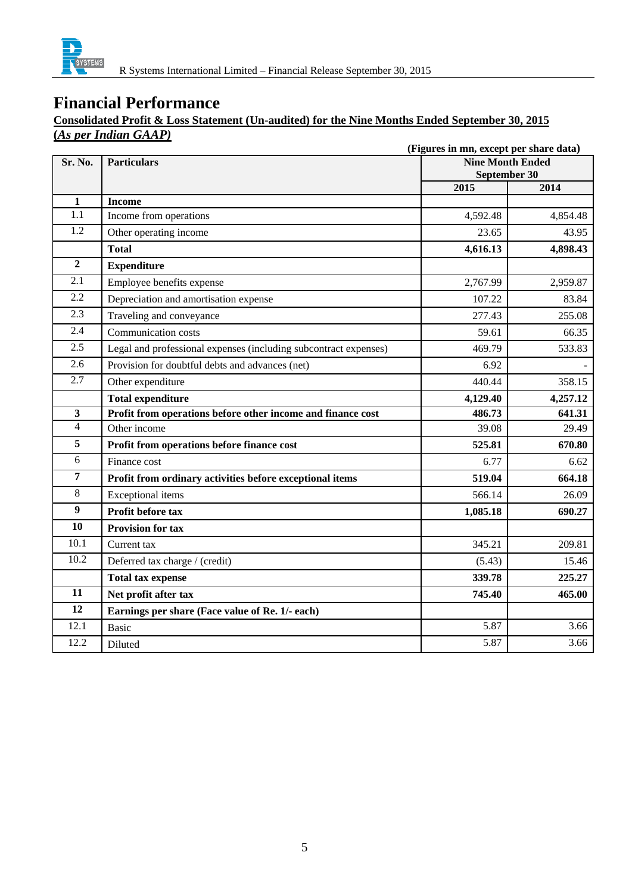

## **Consolidated Profit & Loss Statement (Un-audited) for the Nine Months Ended September 30, 2015 (***As per Indian GAAP)*

|                  | (Figures in mn, except per share data)                           |                                         |          |  |
|------------------|------------------------------------------------------------------|-----------------------------------------|----------|--|
| Sr. No.          | <b>Particulars</b>                                               | <b>Nine Month Ended</b><br>September 30 |          |  |
|                  |                                                                  | 2015                                    | 2014     |  |
| $\mathbf{1}$     | <b>Income</b>                                                    |                                         |          |  |
| 1.1              | Income from operations                                           | 4,592.48                                | 4,854.48 |  |
| $\overline{1.2}$ | Other operating income                                           | 23.65                                   | 43.95    |  |
|                  | <b>Total</b>                                                     | 4,616.13                                | 4,898.43 |  |
| $\overline{2}$   | <b>Expenditure</b>                                               |                                         |          |  |
| 2.1              | Employee benefits expense                                        | 2,767.99                                | 2,959.87 |  |
| 2.2              | Depreciation and amortisation expense                            | 107.22                                  | 83.84    |  |
| 2.3              | Traveling and conveyance                                         | 277.43                                  | 255.08   |  |
| 2.4              | Communication costs                                              | 59.61                                   | 66.35    |  |
| 2.5              | Legal and professional expenses (including subcontract expenses) | 469.79                                  | 533.83   |  |
| 2.6              | Provision for doubtful debts and advances (net)                  | 6.92                                    |          |  |
| 2.7              | Other expenditure                                                | 440.44                                  | 358.15   |  |
|                  | <b>Total expenditure</b>                                         | 4,129.40                                | 4,257.12 |  |
| $\mathbf{3}$     | Profit from operations before other income and finance cost      | 486.73                                  | 641.31   |  |
| $\overline{4}$   | Other income                                                     | 39.08                                   | 29.49    |  |
| 5                | Profit from operations before finance cost                       | 525.81                                  | 670.80   |  |
| 6                | Finance cost                                                     | 6.77                                    | 6.62     |  |
| $\overline{7}$   | Profit from ordinary activities before exceptional items         | 519.04                                  | 664.18   |  |
| 8                | <b>Exceptional</b> items                                         | 566.14                                  | 26.09    |  |
| $\boldsymbol{9}$ | Profit before tax                                                | 1,085.18                                | 690.27   |  |
| 10               | <b>Provision for tax</b>                                         |                                         |          |  |
| 10.1             | Current tax                                                      | 345.21                                  | 209.81   |  |
| 10.2             | Deferred tax charge / (credit)                                   | (5.43)                                  | 15.46    |  |
|                  | <b>Total tax expense</b>                                         | 339.78                                  | 225.27   |  |
| 11               | Net profit after tax                                             | 745.40                                  | 465.00   |  |
| 12               | Earnings per share (Face value of Re. 1/- each)                  |                                         |          |  |
| 12.1             | <b>Basic</b>                                                     | 5.87                                    | 3.66     |  |
| 12.2             | Diluted                                                          | 5.87                                    | 3.66     |  |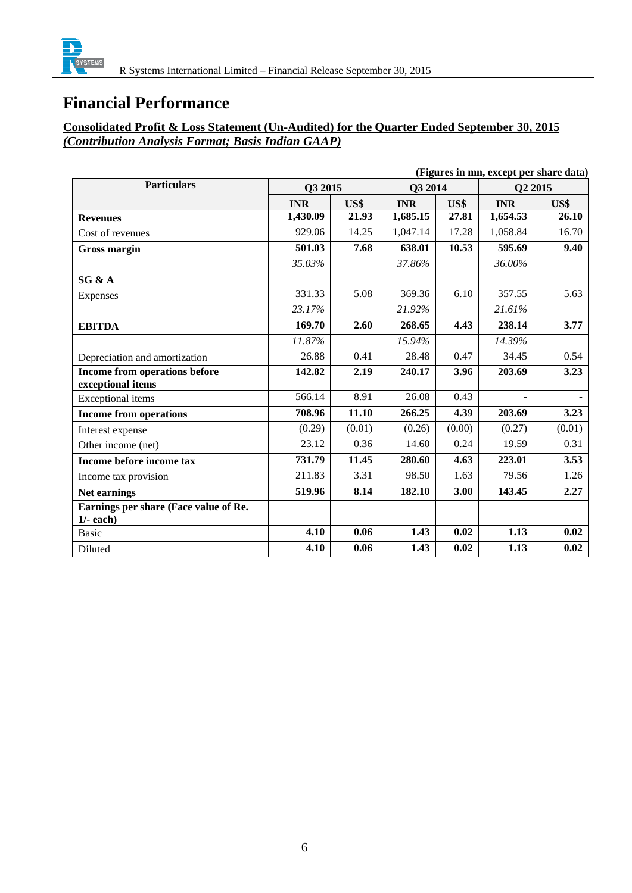

## **Consolidated Profit & Loss Statement (Un-Audited) for the Quarter Ended September 30, 2015**  *(Contribution Analysis Format; Basis Indian GAAP)*

| (Figures in mn, except per share data) |            |        |            |        |            |        |
|----------------------------------------|------------|--------|------------|--------|------------|--------|
| <b>Particulars</b>                     | Q3 2015    |        | Q3 2014    |        | Q2 2015    |        |
|                                        | <b>INR</b> | US\$   | <b>INR</b> | US\$   | <b>INR</b> | US\$   |
| <b>Revenues</b>                        | 1,430.09   | 21.93  | 1,685.15   | 27.81  | 1,654.53   | 26.10  |
| Cost of revenues                       | 929.06     | 14.25  | 1,047.14   | 17.28  | 1,058.84   | 16.70  |
| <b>Gross margin</b>                    | 501.03     | 7.68   | 638.01     | 10.53  | 595.69     | 9.40   |
|                                        | 35.03%     |        | 37.86%     |        | 36.00%     |        |
| SG & A                                 |            |        |            |        |            |        |
| Expenses                               | 331.33     | 5.08   | 369.36     | 6.10   | 357.55     | 5.63   |
|                                        | 23.17%     |        | 21.92%     |        | 21.61%     |        |
| <b>EBITDA</b>                          | 169.70     | 2.60   | 268.65     | 4.43   | 238.14     | 3.77   |
|                                        | 11.87%     |        | 15.94%     |        | 14.39%     |        |
| Depreciation and amortization          | 26.88      | 0.41   | 28.48      | 0.47   | 34.45      | 0.54   |
| Income from operations before          | 142.82     | 2.19   | 240.17     | 3.96   | 203.69     | 3.23   |
| exceptional items                      |            |        |            |        |            |        |
| Exceptional items                      | 566.14     | 8.91   | 26.08      | 0.43   |            |        |
| <b>Income from operations</b>          | 708.96     | 11.10  | 266.25     | 4.39   | 203.69     | 3.23   |
| Interest expense                       | (0.29)     | (0.01) | (0.26)     | (0.00) | (0.27)     | (0.01) |
| Other income (net)                     | 23.12      | 0.36   | 14.60      | 0.24   | 19.59      | 0.31   |
| Income before income tax               | 731.79     | 11.45  | 280.60     | 4.63   | 223.01     | 3.53   |
| Income tax provision                   | 211.83     | 3.31   | 98.50      | 1.63   | 79.56      | 1.26   |
| <b>Net earnings</b>                    | 519.96     | 8.14   | 182.10     | 3.00   | 143.45     | 2.27   |
| Earnings per share (Face value of Re.  |            |        |            |        |            |        |
| $1/-$ each)                            |            |        |            |        |            |        |
| <b>Basic</b>                           | 4.10       | 0.06   | 1.43       | 0.02   | 1.13       | 0.02   |
| Diluted                                | 4.10       | 0.06   | 1.43       | 0.02   | 1.13       | 0.02   |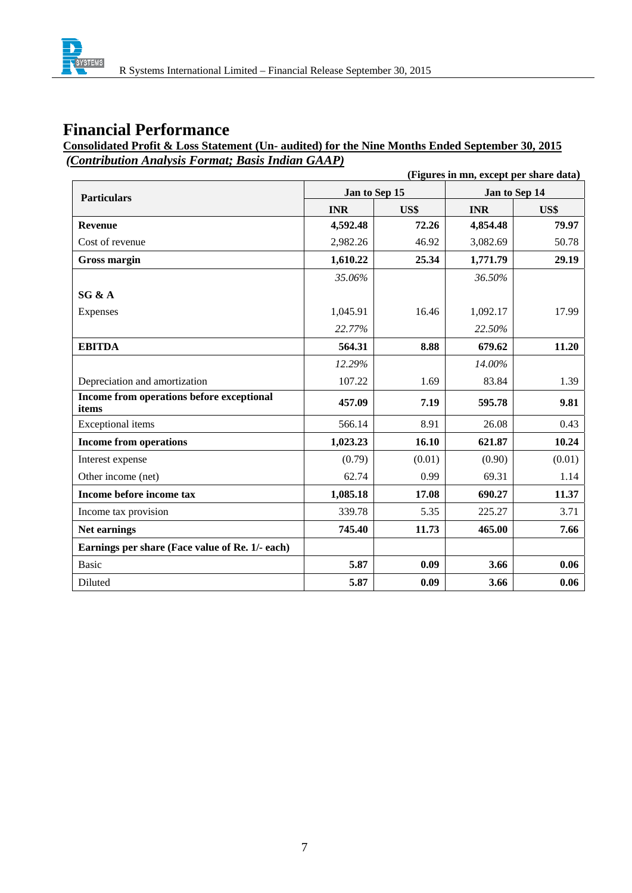

### **Consolidated Profit & Loss Statement (Un- audited) for the Nine Months Ended September 30, 2015**   *(Contribution Analysis Format; Basis Indian GAAP)*

| (Figures in mn, except per share data)             |               |        |               |        |
|----------------------------------------------------|---------------|--------|---------------|--------|
| <b>Particulars</b>                                 | Jan to Sep 15 |        | Jan to Sep 14 |        |
|                                                    | <b>INR</b>    | US\$   | <b>INR</b>    | US\$   |
| <b>Revenue</b>                                     | 4,592.48      | 72.26  | 4,854.48      | 79.97  |
| Cost of revenue                                    | 2,982.26      | 46.92  | 3,082.69      | 50.78  |
| <b>Gross margin</b>                                | 1,610.22      | 25.34  | 1,771.79      | 29.19  |
|                                                    | 35.06%        |        | 36.50%        |        |
| SG & A                                             |               |        |               |        |
| Expenses                                           | 1,045.91      | 16.46  | 1,092.17      | 17.99  |
|                                                    | 22.77%        |        | 22.50%        |        |
| <b>EBITDA</b>                                      | 564.31        | 8.88   | 679.62        | 11.20  |
|                                                    | 12.29%        |        | 14.00%        |        |
| Depreciation and amortization                      | 107.22        | 1.69   | 83.84         | 1.39   |
| Income from operations before exceptional<br>items | 457.09        | 7.19   | 595.78        | 9.81   |
| <b>Exceptional</b> items                           | 566.14        | 8.91   | 26.08         | 0.43   |
| <b>Income from operations</b>                      | 1,023.23      | 16.10  | 621.87        | 10.24  |
| Interest expense                                   | (0.79)        | (0.01) | (0.90)        | (0.01) |
| Other income (net)                                 | 62.74         | 0.99   | 69.31         | 1.14   |
| Income before income tax                           | 1,085.18      | 17.08  | 690.27        | 11.37  |
| Income tax provision                               | 339.78        | 5.35   | 225.27        | 3.71   |
| <b>Net earnings</b>                                | 745.40        | 11.73  | 465.00        | 7.66   |
| Earnings per share (Face value of Re. 1/- each)    |               |        |               |        |
| <b>Basic</b>                                       | 5.87          | 0.09   | 3.66          | 0.06   |
| Diluted                                            | 5.87          | 0.09   | 3.66          | 0.06   |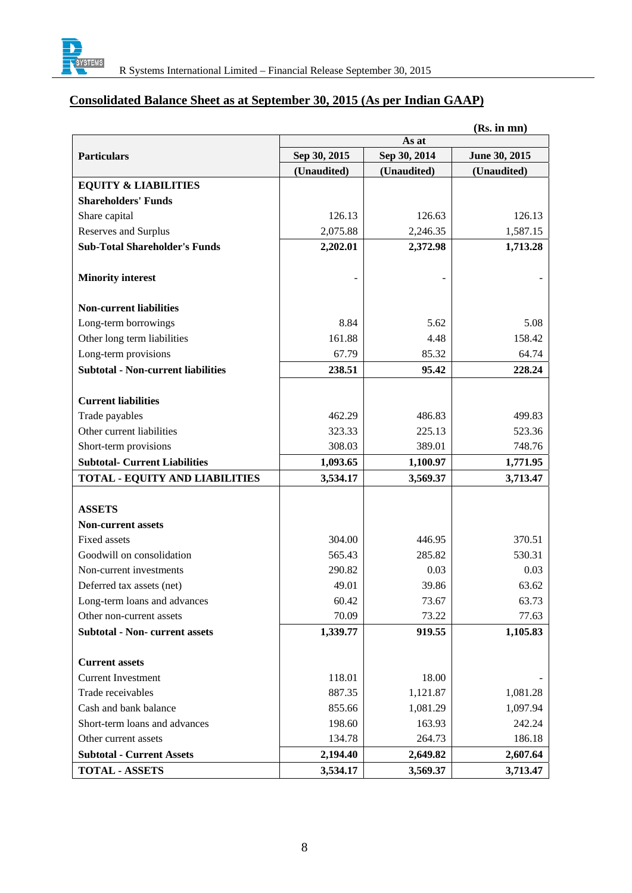

## **Consolidated Balance Sheet as at September 30, 2015 (As per Indian GAAP)**

| (Rs. in mn)                               |              |              |               |  |
|-------------------------------------------|--------------|--------------|---------------|--|
|                                           | As at        |              |               |  |
| <b>Particulars</b>                        | Sep 30, 2015 | Sep 30, 2014 | June 30, 2015 |  |
|                                           | (Unaudited)  | (Unaudited)  | (Unaudited)   |  |
| <b>EQUITY &amp; LIABILITIES</b>           |              |              |               |  |
| <b>Shareholders' Funds</b>                |              |              |               |  |
| Share capital                             | 126.13       | 126.63       | 126.13        |  |
| Reserves and Surplus                      | 2,075.88     | 2,246.35     | 1,587.15      |  |
| <b>Sub-Total Shareholder's Funds</b>      | 2,202.01     | 2,372.98     | 1,713.28      |  |
|                                           |              |              |               |  |
| <b>Minority interest</b>                  |              |              |               |  |
|                                           |              |              |               |  |
| <b>Non-current liabilities</b>            |              |              |               |  |
| Long-term borrowings                      | 8.84         | 5.62         | 5.08          |  |
| Other long term liabilities               | 161.88       | 4.48         | 158.42        |  |
| Long-term provisions                      | 67.79        | 85.32        | 64.74         |  |
| <b>Subtotal - Non-current liabilities</b> | 238.51       | 95.42        | 228.24        |  |
|                                           |              |              |               |  |
| <b>Current liabilities</b>                |              |              |               |  |
| Trade payables                            | 462.29       | 486.83       | 499.83        |  |
| Other current liabilities                 | 323.33       | 225.13       | 523.36        |  |
| Short-term provisions                     | 308.03       | 389.01       | 748.76        |  |
| <b>Subtotal- Current Liabilities</b>      | 1,093.65     | 1,100.97     | 1,771.95      |  |
| <b>TOTAL - EQUITY AND LIABILITIES</b>     | 3,534.17     | 3,569.37     | 3,713.47      |  |
|                                           |              |              |               |  |
| <b>ASSETS</b>                             |              |              |               |  |
| <b>Non-current assets</b>                 |              |              |               |  |
| <b>Fixed assets</b>                       | 304.00       | 446.95       | 370.51        |  |
| Goodwill on consolidation                 | 565.43       | 285.82       | 530.31        |  |
| Non-current investments                   | 290.82       | 0.03         | 0.03          |  |
| Deferred tax assets (net)                 | 49.01        | 39.86        | 63.62         |  |
| Long-term loans and advances              | 60.42        | 73.67        | 63.73         |  |
| Other non-current assets                  | 70.09        | 73.22        | 77.63         |  |
| <b>Subtotal - Non- current assets</b>     | 1,339.77     | 919.55       | 1,105.83      |  |
|                                           |              |              |               |  |
| <b>Current assets</b>                     |              |              |               |  |
| <b>Current Investment</b>                 | 118.01       | 18.00        |               |  |
| Trade receivables                         | 887.35       | 1,121.87     | 1,081.28      |  |
| Cash and bank balance                     | 855.66       | 1,081.29     | 1,097.94      |  |
| Short-term loans and advances             | 198.60       | 163.93       | 242.24        |  |
| Other current assets                      | 134.78       | 264.73       | 186.18        |  |
| <b>Subtotal - Current Assets</b>          | 2,194.40     | 2,649.82     | 2,607.64      |  |
| <b>TOTAL - ASSETS</b>                     | 3,534.17     | 3,569.37     | 3,713.47      |  |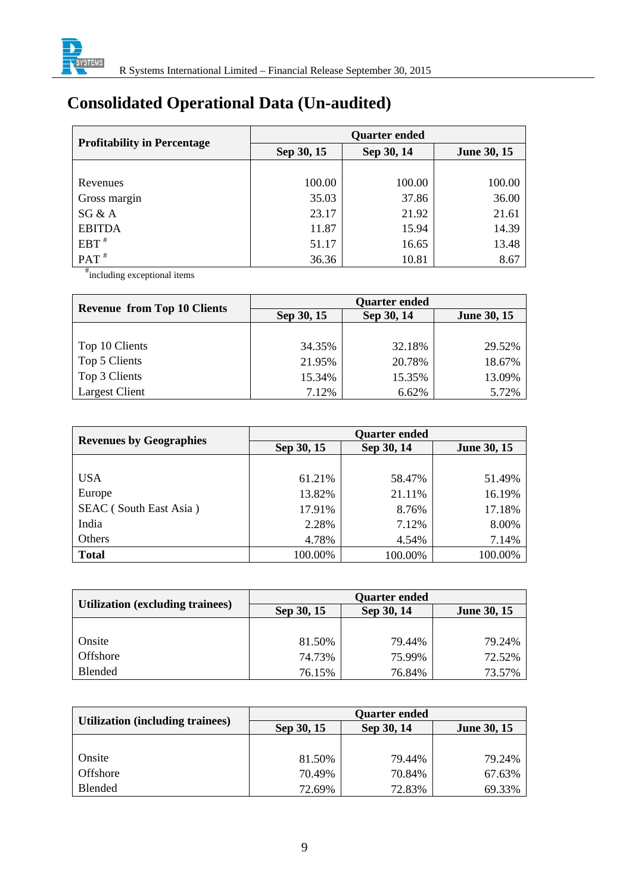

# **Consolidated Operational Data (Un-audited)**

|                                    | <b>Quarter ended</b> |            |                    |  |
|------------------------------------|----------------------|------------|--------------------|--|
| <b>Profitability in Percentage</b> | Sep 30, 15           | Sep 30, 14 | <b>June 30, 15</b> |  |
|                                    |                      |            |                    |  |
| Revenues                           | 100.00               | 100.00     | 100.00             |  |
| Gross margin                       | 35.03                | 37.86      | 36.00              |  |
| SG & A                             | 23.17                | 21.92      | 21.61              |  |
| <b>EBITDA</b>                      | 11.87                | 15.94      | 14.39              |  |
| $EBT^*$                            | 51.17                | 16.65      | 13.48              |  |
| $PAT$ <sup>#</sup>                 | 36.36                | 10.81      | 8.67               |  |

# including exceptional items

| <b>Revenue from Top 10 Clients</b> | <b>Quarter ended</b> |            |                    |  |
|------------------------------------|----------------------|------------|--------------------|--|
|                                    | Sep 30, 15           | Sep 30, 14 | <b>June 30, 15</b> |  |
|                                    |                      |            |                    |  |
| Top 10 Clients                     | 34.35%               | 32.18%     | 29.52%             |  |
| Top 5 Clients                      | 21.95%               | 20.78%     | 18.67%             |  |
| Top 3 Clients                      | 15.34%               | 15.35%     | 13.09%             |  |
| <b>Largest Client</b>              | 7.12%                | 6.62%      | 5.72%              |  |

| <b>Revenues by Geographies</b> | <b>Quarter ended</b> |            |                    |  |
|--------------------------------|----------------------|------------|--------------------|--|
|                                | Sep 30, 15           | Sep 30, 14 | <b>June 30, 15</b> |  |
|                                |                      |            |                    |  |
| <b>USA</b>                     | 61.21%               | 58.47%     | 51.49%             |  |
| Europe                         | 13.82%               | 21.11%     | 16.19%             |  |
| SEAC (South East Asia)         | 17.91%               | 8.76%      | 17.18%             |  |
| India                          | 2.28%                | 7.12%      | 8.00%              |  |
| Others                         | 4.78%                | 4.54%      | 7.14%              |  |
| <b>Total</b>                   | 100.00%              | 100.00%    | 100.00%            |  |

|                                  | <b>Quarter ended</b> |            |                    |  |
|----------------------------------|----------------------|------------|--------------------|--|
| Utilization (excluding trainees) | Sep 30, 15           | Sep 30, 14 | <b>June 30, 15</b> |  |
|                                  |                      |            |                    |  |
| Onsite                           | 81.50%               | 79.44%     | 79.24%             |  |
| Offshore                         | 74.73%               | 75.99%     | 72.52%             |  |
| <b>Blended</b>                   | 76.15%               | 76.84%     | 73.57%             |  |

| <b>Utilization (including trainees)</b> | <b>Quarter ended</b> |            |                    |  |
|-----------------------------------------|----------------------|------------|--------------------|--|
|                                         | Sep 30, 15           | Sep 30, 14 | <b>June 30, 15</b> |  |
|                                         |                      |            |                    |  |
| Onsite                                  | 81.50%               | 79.44%     | 79.24%             |  |
| Offshore                                | 70.49%               | 70.84%     | 67.63%             |  |
| Blended                                 | 72.69%               | 72.83%     | 69.33%             |  |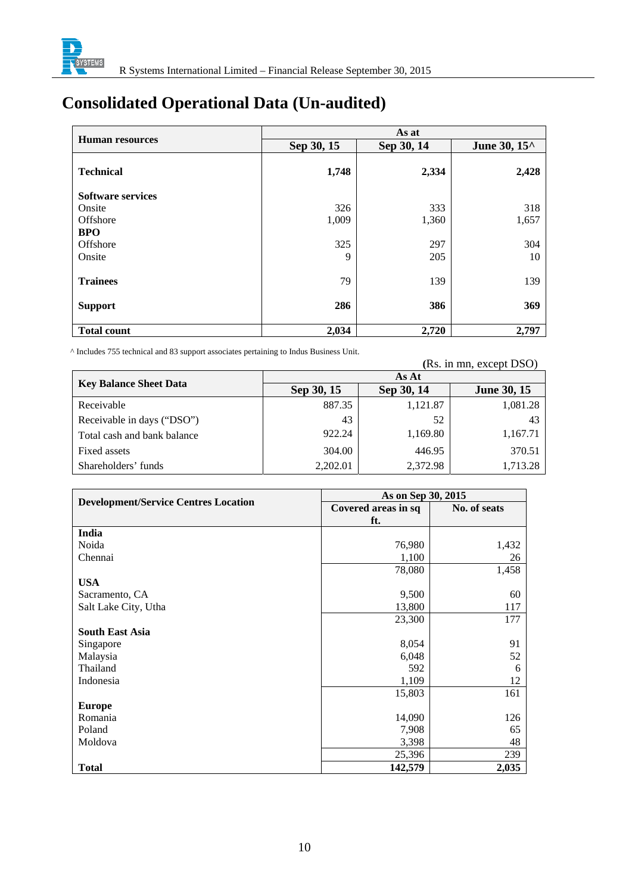

# **Consolidated Operational Data (Un-audited)**

|                          | As at      |            |                                           |  |
|--------------------------|------------|------------|-------------------------------------------|--|
| <b>Human resources</b>   | Sep 30, 15 | Sep 30, 14 | June 30, 15 <sup><math>\land</math></sup> |  |
| <b>Technical</b>         | 1,748      | 2,334      | 2,428                                     |  |
| <b>Software services</b> |            |            |                                           |  |
| Onsite                   | 326        | 333        | 318                                       |  |
| Offshore                 | 1,009      | 1,360      | 1,657                                     |  |
| <b>BPO</b>               |            |            |                                           |  |
| Offshore                 | 325        | 297        | 304                                       |  |
| Onsite                   | 9          | 205        | 10                                        |  |
| <b>Trainees</b>          | 79         | 139        | 139                                       |  |
| <b>Support</b>           | 286        | 386        | 369                                       |  |
| <b>Total count</b>       | 2,034      | 2,720      | 2,797                                     |  |

^ Includes 755 technical and 83 support associates pertaining to Indus Business Unit. **(**Rs. in mn, except DSO)

|                               | As At      |            |                    |  |  |
|-------------------------------|------------|------------|--------------------|--|--|
| <b>Key Balance Sheet Data</b> | Sep 30, 15 | Sep 30, 14 | <b>June 30, 15</b> |  |  |
| Receivable                    | 887.35     | 1,121.87   | 1,081.28           |  |  |
| Receivable in days ("DSO")    | 43         | 52         | 43                 |  |  |
| Total cash and bank balance   | 922.24     | 1,169.80   | 1,167.71           |  |  |
| Fixed assets                  | 304.00     | 446.95     | 370.51             |  |  |
| Shareholders' funds           | 2,202.01   | 2,372.98   | 1,713.28           |  |  |

| <b>Development/Service Centres Location</b> | As on Sep 30, 2015  |              |
|---------------------------------------------|---------------------|--------------|
|                                             | Covered areas in sq | No. of seats |
|                                             | ft.                 |              |
| India                                       |                     |              |
| Noida                                       | 76,980              | 1,432        |
| Chennai                                     | 1,100               | 26           |
|                                             | 78,080              | 1,458        |
| <b>USA</b>                                  |                     |              |
| Sacramento, CA                              | 9,500               | 60           |
| Salt Lake City, Utha                        | 13,800              | 117          |
|                                             | 23,300              | 177          |
| <b>South East Asia</b>                      |                     |              |
| Singapore                                   | 8,054               | 91           |
| Malaysia                                    | 6,048               | 52           |
| Thailand                                    | 592                 | 6            |
| Indonesia                                   | 1,109               | 12           |
|                                             | 15,803              | 161          |
| <b>Europe</b>                               |                     |              |
| Romania                                     | 14,090              | 126          |
| Poland                                      | 7,908               | 65           |
| Moldova                                     | 3,398               | 48           |
|                                             | 25,396              | 239          |
| <b>Total</b>                                | 142,579             | 2,035        |